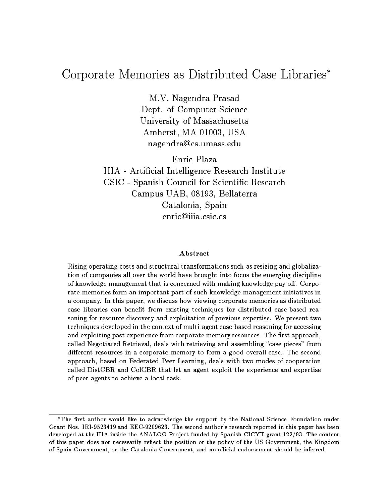# Corporate Memories as Distributed Case Libraries

M.V. Nagendra Prasad Dept. of Computer Science University of Massachusetts Amherst, MA 01003, USA nagendra@cs.umass.edu

Enric Plaza IIIA - Articial Intelligence Research Institute CSIC - Spanish Council for Scientic Research Campus UAB, 08193, Bellaterra Catalonia, Spain enric@iiia.csic.es

#### Abstract

Rising operating costs and structural transformations such as resizing and globalization of companies all over the world have brought into focus the emerging discipline of knowledge management that is concerned with making knowledge pay o. Corporate memories form an important part of such knowledge management initiatives in a company. In this paper, we discuss how viewing corporate memories as distributed case libraries can benet from existing techniques for distributed case-based reasoning for resource discovery and exploitation of previous expertise. We present two techniques developed in the context of multi-agent case-based reasoning for accessing and exploiting past experience from corporate memory resources. The rst approach, called Negotiated Retrieval, deals with retrieving and assembling "case pieces" from dierent resources in a corporate memory to form a good overall case. The second case is the second approach, based on Federated Peer Learning, deals with two modes of cooperation called DistCBR and ColCBR that let an agent the exploit the experience and experience of peer agents to achieve a local task.

<sup>\*</sup>The first author would like to acknowledge the support by the National Science Foundation under Grant Nos. IRI-9523419 and EEC-9209623. The second author's research reported in this paper has been developed at the IIIA inside the ANALOG Project funded by Spanish CICYT grant 122/93. The content of this paper does not necessarily reflect the position or the policy of the US Government, the Kingdom of Spain Government, or the Catalonia Government, and no official endorsement should be inferred.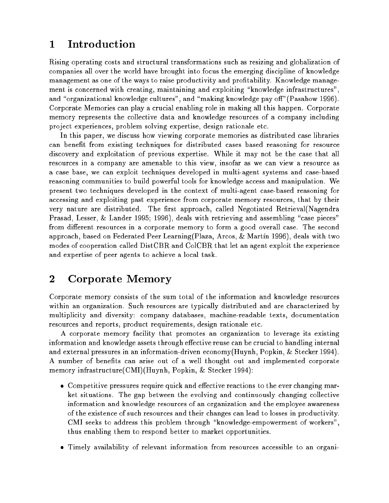# <sup>1</sup> Introduction

Rising operating costs and structural transformations such as resizing and globalization of companies all over the world have brought into focus the emerging discipline of knowledge management as one of the ways to raise productivity and profitability. Knowledge management is concerned with creating, maintaining and exploiting \knowledge infrastructures", and "organizational knowledge cultures", and "making knowledge pay off" (Pasahow 1996). Corporate Memories can play a crucial enabling role in making all this happen. Corporate memory represents the collective data and knowledge resources of a company including project experiences, problem solving expertise, design rationale etc.

In this paper, we discuss how viewing corporate memories as distributed case libraries can benet from existing techniques for distributed cases based reasoning for resource discovery and exploitation of previous expertise. While it may not be the case that all resources in a company are amenable to this view, insofar as we can view a resource as a case base, we can exploit techniques developed in multi-agent systems and case-based reasoning communities to build powerful tools for knowledge access and manipulation. We present two techniques developed in the context of multi-agent case-based reasoning for accessing and exploiting past experience from corporate memory resources, that by their very nature are distributed. The first approach, called Negotiated Retrieval(Nagendra Prasad, Lesser, & Lander 1995; 1996), deals with retrieving and assembling "case pieces" from different resources in a corporate memory to form a good overall case. The second approach, based on Federated Peer Learning (Plaza, Arcos, & Martin 1996), deals with two modes of cooperation called DistCBR and ColCBR that let an agent exploit the experience and expertise of peer agents to achieve a local task.

# <sup>2</sup> Corporate Memory

Corporate memory consists of the sum total of the information and knowledge resources within an organization. Such resources are typically distributed and are characterized by multiplicity and diversity: company databases, machine-readable texts, documentation resources and reports, product requirements, design rationale etc.

A corporate memory facility that promotes an organization to leverage its existing information and knowledge assets through effective reuse can be crucial to handling internal and external pressures in an information-driven economy(Huynh, Popkin, & Stecker 1994). A number of benefits can arise out of a well thought out and implemented corporate memory infrastructure(CMI)(Huynh, Popkin, & Stecker 1994):

- $\bullet$  Competitive pressures require quick and effective reactions to the ever changing market situations. The gap between the evolving and continuously changing collective information and knowledge resources of an organization and the employee awareness of the existence of such resources and their changes can lead to losses in productivity. CMI seeks to address this problem through "knowledge-empowerment of workers", thus enabling them to respond better to market opportunities.
- Timely availability of relevant information from resources accessible to an organi-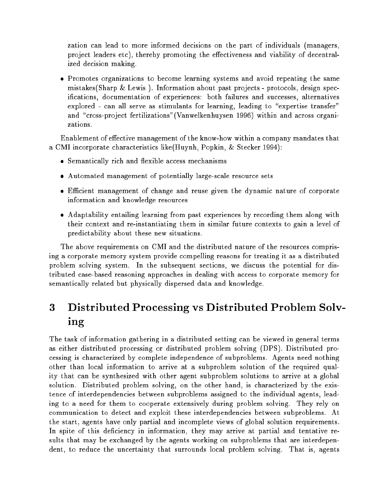zation can lead to more informed decisions on the part of individuals (managers, project leaders etc), thereby promoting the effectiveness and viability of decentralized decision making.

 Promotes organizations to become learning systems and avoid repeating the same mistakes (Sharp & Lewis). Information about past projects - protocols, design specications, documentation of experiences: both failures and successes, alternatives explored - can all serve as stimulants for learning, leading to "expertise transfer" and "cross-project fertilizations" (Vanwelkenhuysen 1996) within and across organizations.

Enablement of effective management of the know-how within a company mandates that a CMI incorporate characteristics like(Huynh, Popkin, & Stecker 1994):

- Semantically rich and flexible access mechanisms
- Automated management of potentially large-scale resource sets
- Ecient management of change and reuse given the dynamic nature of corporate information and knowledge resources
- Adaptability entailing learning from past experiences by recording them along with their context and re-instantiating them in similar future contexts to gain a level of predictability about these new situations.

The above requirements on CMI and the distributed nature of the resources comprising a corporate memory system provide compelling reasons for treating it as a distributed problem solving system. In the subsequent sections, we discuss the potential for distributed case-based reasoning approaches in dealing with access to corporate memory for semantically related but physically dispersed data and knowledge.

## Distributed Processing vs Distributed Problem Solv-3 ----

The task of information gathering in a distributed setting can be viewed in general terms as either distributed processing or distributed problem solving (DPS). Distributed processing is characterized by complete independence of subproblems. Agents need nothing other than local information to arrive at a subproblem solution of the required quality that can be synthesized with other agent subproblem solutions to arrive at a global solution. Distributed problem solving, on the other hand, is characterized by the existence of interdependencies between subproblems assigned to the individual agents, leading to a need for them to cooperate extensively during problem solving. They rely on communication to detect and exploit these interdependencies between subproblems. At the start, agents have only partial and incomplete views of global solution requirements. In spite of this deficiency in information, they may arrive at partial and tentative results that may be exchanged by the agents working on subproblems that are interdependent, to reduce the uncertainty that surrounds local problem solving. That is, agents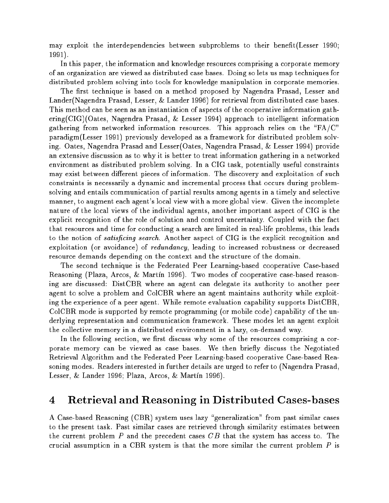may exploit the interdependencies between subproblems to their benet(Lesser 1990; 1991).

In this paper, the information and knowledge resources comprising a corporate memory of an organization are viewed as distributed case bases. Doing so lets us map techniques for distributed problem solving into tools for knowledge manipulation in corporate memories.

The first technique is based on a method proposed by Nagendra Prasad, Lesser and Lander(Nagendra Prasad, Lesser, & Lander 1996) for retrieval from distributed case bases. This method can be seen as an instantiation of aspects of the cooperative information gathering(CIG)(Oates, Nagendra Prasad, & Lesser 1994) approach to intelligent information gathering from networked information resources. This approach relies on the " $FA/C"$ paradigm(Lesser 1991) previously developed as a framework for distributed problem solving. Oates, Nagendra Prasad and Lesser(Oates, Nagendra Prasad, & Lesser 1994) provide an extensive discussion as to why it is better to treat information gathering in a networked environment as distributed problem solving. In a CIG task, potentially useful constraints may exist between different pieces of information. The discovery and exploitation of such constraints is necessarily a dynamic and incremental process that occurs during problemsolving and entails communication of partial results among agents in a timely and selective manner, to augment each agent's local view with a more global view. Given the incomplete nature of the local views of the individual agents, another important aspect of CIG is the explicit recognition of the role of solution and control uncertainty. Coupled with the fact that resources and time for conducting a search are limited in real-life problems, this leads to the notion of *satisficing search*. Another aspect of CIG is the explicit recognition and exploitation (or avoidance) of redundancy, leading to increased robustness or decreased resource demands depending on the context and the structure of the domain.

The second technique is the Federated Peer Learning-based cooperative Case-based Reasoning (Plaza, Arcos, & Martín 1996). Two modes of cooperative case-based reasoning are discussed: DistCBR where an agent can delegate its authority to another peer agent to solve a problem and ColCBR where an agent maintains authority while exploiting the experience of a peer agent. While remote evaluation capability supports DistCBR, ColCBR mode is supported by remote programming (or mobile code) capability of the underlying representation and communication framework. These modes let an agent exploit the collective memory in a distributed environment in a lazy, on-demand way.

In the following section, we first discuss why some of the resources comprising a corporate memory can be viewed as case bases. We then briefly discuss the Negotiated Retrieval Algorithm and the Federated Peer Learning-based cooperative Case-based Reasoning modes. Readers interested in further details are urged to refer to (Nagendra Prasad, Lesser,  $\&$  Lander 1996; Plaza, Arcos,  $\&$  Martín 1996).

#### 4Retrieval and Reasoning in Distributed Cases-bases

A Case-based Reasoning (CBR) system uses lazy "generalization" from past similar cases to the present task. Past similar cases are retrieved through similarity estimates between the current problem  $P$  and the precedent cases  $CB$  that the system has access to. The crucial assumption in a CBR system is that the more similar the current problem  $P$  is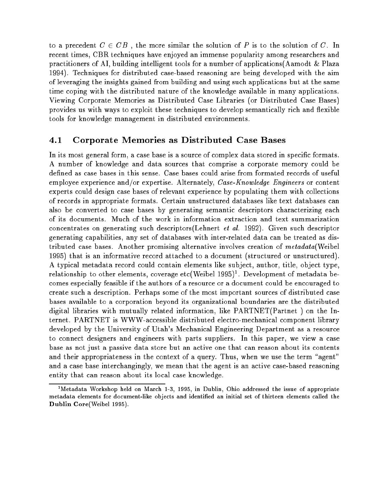to a precedent  $C \in CB$ , the more similar the solution of P is to the solution of C. In recent times, CBR techniques have enjoyed an immense popularity among researchers and practitioners of AI, building intelligent tools for a number of applications(Aamodt & Plaza 1994). Techniques for distributed case-based reasoning are being developed with the aim of leveraging the insights gained from building and using such applications but at the same time coping with the distributed nature of the knowledge available in many applications. Viewing Corporate Memories as Distributed Case Libraries (or Distributed Case Bases) provides us with ways to exploit these techniques to develop semantically rich and flexible tools for knowledge management in distributed environments.

# 4.1 Corporate Memories as Distributed Case Bases

In its most general form, a case base is a source of complex data stored in specific formats. A number of knowledge and data sources that comprise a corporate memory could be dened as case bases in this sense. Case bases could arise from formated records of useful employee experience and/or expertise. Alternately,  $\textit{Case-Knowledge Engineers}$  or content experts could design case bases of relevant experience by populating them with collections of records in appropriate formats. Certain unstructured databases like text databases can also be converted to case bases by generating semantic descriptors characterizing each of its documents. Much of the work in information extraction and text summarization concentrates on generating such descriptors(Lehnert et al. 1992). Given such descriptor generating capabilities, any set of databases with inter-related data can be treated as distributed case bases. Another promising alternative involves creation of metadata (Weibel 1995) that is an informative record attached to a document (structured or unstructured). A typical metadata record could contain elements like sub ject, author, title, ob ject type, relationship to other elements, coverage etc( weibel 1995) - . Development of metadata becomes especially feasible if the authors of a resource or a document could be encouraged to create such a description. Perhaps some of the most important sources of distributed case bases available to a corporation beyond its organizational boundaries are the distributed digital libraries with mutually related information, like PARTNET(Partnet ) on the Internet. PARTNET is WWW-accessible distributed electro-mechanical component library developed by the University of Utah's Mechanical Engineering Department as a resource to connect designers and engineers with parts suppliers. In this paper, we view a case base as not just a passive data store but an active one that can reason about its contents and their appropriateness in the context of a query. Thus, when we use the term "agent" and a case base interchangingly, we mean that the agent is an active case-based reasoning entity that can reason about its local case knowledge.

<sup>&</sup>lt;sup>1</sup>Metadata Workshop held on March 1-3, 1995, in Dublin, Ohio addressed the issue of appropriate metadata elements for document-like objects and identified an initial set of thirteen elements called the Dublin Core(Weibel 1995).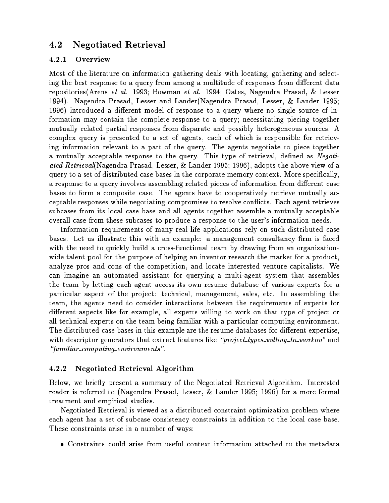#### 4.2Negotiated Retrieval

## 4.2.1 Overview

Most of the literature on information gathering deals with locating, gathering and selecting the best response to a query from among a multitude of responses from different data repositories(Arens et al. 1993; Bowman et al. 1994; Oates, Nagendra Prasad, & Lesser 1994). Nagendra Prasad, Lesser and Lander(Nagendra Prasad, Lesser, & Lander 1995; 1996) introduced a different model of response to a query where no single source of information may contain the complete response to a query; necessitating piecing together mutually related partial responses from disparate and possibly heterogeneous sources. A complex query is presented to a set of agents, each of which is responsible for retrieving information relevant to a part of the query. The agents negotiate to piece together a mutually acceptable response to the query. This type of retrieval, defined as Negotiated Retrieval(Nagendra Prasad, Lesser, & Lander 1995; 1996), adopts the above view of a query to a set of distributed case bases in the corporate memory context. More specifically, a response to a query involves assembling related pieces of information from different case bases to form a composite case. The agents have to cooperatively retrieve mutually acceptable responses while negotiating compromises to resolve con
icts. Each agent retrieves subcases from its local case base and all agents together assemble a mutually acceptable overall case from these subcases to produce a response to the user's information needs.

Information requirements of many real life applications rely on such distributed case bases. Let us illustrate this with an example: a management consultancy firm is faced with the need to quickly build a cross-functional team by drawing from an organizationwide talent pool for the purpose of helping an inventor research the market for a product, analyze pros and cons of the competition, and locate interested venture capitalists. We can imagine an automated assistant for querying a multi-agent system that assembles the team by letting each agent access its own resume database of various experts for a particular aspect of the project: technical, management, sales, etc. In assembling the team, the agents need to consider interactions between the requirements of experts for different aspects like for example, all experts willing to work on that type of project or all technical experts on the team being familiar with a particular computing environment. The distributed case bases in this example are the resume databases for different expertise, with descriptor generators that extract features like "project types willing to workon" and \familiar computing environments".

# 4.2.2 Negotiated Retrieval Algorithm

Below, we briefly present a summary of the Negotiated Retrieval Algorithm. Interested reader is referred to (Nagendra Prasad, Lesser, & Lander 1995; 1996) for a more formal treatment and empirical studies.

Negotiated Retrieval is viewed as a distributed constraint optimization problem where each agent has a set of subcase consistency constraints in addition to the local case base. These constraints arise in a number of ways:

Constraints could arise from useful context information attached to the metadata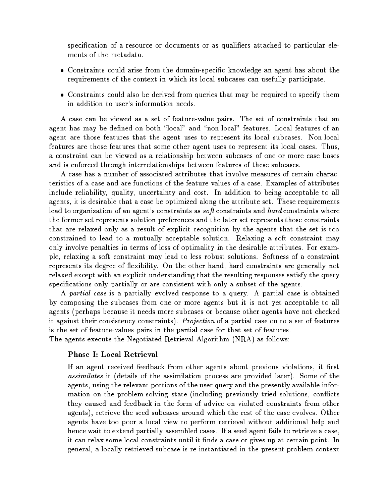specification of a resource or documents or as qualifiers attached to particular elements of the metadata

- Constraints could arise from the domain-specic knowledge an agent has about the requirements of the context in which its local subcases can usefully participate.
- Constraints could also be derived from queries that may be required to specify them in addition to user's information needs.

A case can be viewed as a set of feature-value pairs. The set of constraints that an agent has may be defined on both "local" and "non-local" features. Local features of an agent are those features that the agent uses to represent its local subcases. Non-local features are those features that some other agent uses to represent its local cases. Thus, a constraint can be viewed as a relationship between subcases of one or more case bases and is enforced through interrelationships between features of these subcases.

A case has a number of associated attributes that involve measures of certain characteristics of a case and are functions of the feature values of a case. Examples of attributes include reliability, quality, uncertainty and cost. In addition to being acceptable to all agents, it is desirable that a case be optimized along the attribute set. These requirements lead to organization of an agent's constraints as *soft* constraints and *hard* constraints where the former set represents solution preferences and the later set represents those constraints that are relaxed only as a result of explicit recognition by the agents that the set is too constrained to lead to a mutually acceptable solution. Relaxing a soft constraint may only involve penalties in terms of loss of optimality in the desirable attributes. For example, relaxing a soft constraint may lead to less robust solutions. Softness of a constraint represents its degree of flexibility. On the other hand, hard constraints are generally not relaxed except with an explicit understanding that the resulting responses satisfy the query specifications only partially or are consistent with only a subset of the agents.

A *partial case* is a partially evolved response to a query. A partial case is obtained by composing the subcases from one or more agents but it is not yet acceptable to all agents (perhaps because it needs more subcases or because other agents have not checked it against their consistency constraints). Projection of a partial case on to a set of features is the set of feature-values pairs in the partial case for that set of features.

The agents execute the Negotiated Retrieval Algorithm (NRA) as follows:

### Phase I: Local Retrieval

If an agent received feedback from other agents about previous violations, it first assimilates it (details of the assimilation process are provided later). Some of the agents, using the relevant portions of the user query and the presently available information on the problem-solving state (including previously tried solutions, con
icts they caused and feedback in the form of advice on violated constraints from other agents), retrieve the seed subcases around which the rest of the case evolves. Other agents have too poor a local view to perform retrieval without additional help and hence wait to extend partially assembled cases. If a seed agent fails to retrieve a case, it can relax some local constraints until it finds a case or gives up at certain point. In general, a locally retrieved subcase is re-instantiated in the present problem context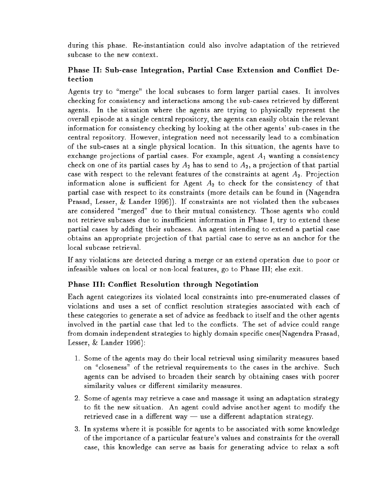during this phase. Re-instantiation could also involve adaptation of the retrieved subcase to the new context.

# Phase II: Sub-case Integration, Partial Case Extension and Con
ict Detection

Agents try to "merge" the local subcases to form larger partial cases. It involves checking for consistency and interactions among the sub-cases retrieved by different agents. In the situation where the agents are trying to physically represent the overall episode at a single central repository, the agents can easily obtain the relevant information for consistency checking by looking at the other agents' sub-cases in the central repository. However, integration need not necessarily lead to a combination of the sub-cases at a single physical location. In this situation, the agents have to exchange projections of partial cases. For example, agent  $A_1$  wanting a consistency check on one of its partial cases by  $A_2$  has to send to  $A_2$ , a projection of that partial case with respect to the relevant features of the constraints at agent  $A_2$ . Projection information alone is sufficient for Agent  $A_2$  to check for the consistency of that partial case with respect to its constraints (more details can be found in (Nagendra Prasad, Lesser, & Lander 1996)). If constraints are not violated then the subcases are considered "merged" due to their mutual consistency. Those agents who could not retrieve subcases due to insufficient information in Phase I, try to extend these partial cases by adding their subcases. An agent intending to extend a partial case obtains an appropriate pro jection of that partial case to serve as an anchor for the local subcase retrieval.

If any violations are detected during a merge or an extend operation due to poor or infeasible values on local or non-local features, go to Phase III; else exit.

# Phase III: Con
ict Resolution through Negotiation

Each agent categorizes its violated local constraints into pre-enumerated classes of violations and uses a set of con
ict resolution strategies associated with each of these categories to generate a set of advice as feedback to itself and the other agents involved in the partial case that led to the conflicts. The set of advice could range from domain independent strategies to highly domain specic ones(Nagendra Prasad, Lesser, & Lander 1996):

- 1. Some of the agents may do their local retrieval using similarity measures based on "closeness" of the retrieval requirements to the cases in the archive. Such agents can be advised to broaden their search by obtaining cases with poorer similarity values or different similarity measures.
- 2. Some of agents may retrieve a case and massage it using an adaptation strategy to fit the new situation. An agent could advise another agent to modify the retrieved case in a different way  $-$  use a different adaptation strategy.
- 3. In systems where it is possible for agents to be associated with some knowledge of the importance of a particular feature's values and constraints for the overall case, this knowledge can serve as basis for generating advice to relax a soft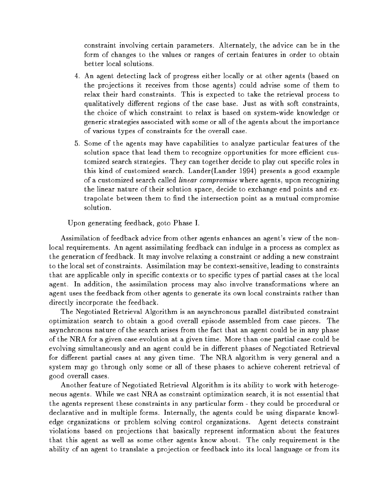constraint involving certain parameters. Alternately, the advice can be in the form of changes to the values or ranges of certain features in order to obtain better local solutions.

- 4. An agent detecting lack of progress either locally or at other agents (based on the pro jections it receives from those agents) could advise some of them to relax their hard constraints. This is expected to take the retrieval process to qualitatively different regions of the case base. Just as with soft constraints, the choice of which constraint to relax is based on system-wide knowledge or generic strategies associated with some or all of the agents about the importance of various types of constraints for the overall case.
- 5. Some of the agents may have capabilities to analyze particular features of the solution space that lead them to recognize opportunities for more efficient customized search strategies. They can together decide to play out specific roles in this kind of customized search. Lander(Lander 1994) presents a good example of a customized search called *linear compromise* where agents, upon recognizing the linear nature of their solution space, decide to exchange end points and extrapolate between them to find the intersection point as a mutual compromise solution.

Upon generating feedback, goto Phase I.

Assimilation of feedback advice from other agents enhances an agent's view of the nonlocal requirements. An agent assimilating feedback can indulge in a process as complex as the generation of feedback. It may involve relaxing a constraint or adding a new constraint to the local set of constraints. Assimilation may be context-sensitive, leading to constraints that are applicable only in specific contexts or to specific types of partial cases at the local agent. In addition, the assimilation process may also involve transformations where an agent uses the feedback from other agents to generate its own local constraints rather than directly incorporate the feedback.

The Negotiated Retrieval Algorithm is an asynchronous parallel distributed constraint optimization search to obtain a good overall episode assembled from case pieces. The asynchronous nature of the search arises from the fact that an agent could be in any phase of the NRA for a given case evolution at a given time. More than one partial case could be evolving simultaneously and an agent could be in different phases of Negotiated Retrieval for different partial cases at any given time. The NRA algorithm is very general and a system may go through only some or all of these phases to achieve coherent retrieval of good overall cases.

Another feature of Negotiated Retrieval Algorithm is its ability to work with heterogeneous agents. While we cast NRA as constraint optimization search, it is not essential that the agents represent these constraints in any particular form - they could be procedural or declarative and in multiple forms. Internally, the agents could be using disparate knowledge organizations or problem solving control organizations. Agent detects constraint violations based on projections that basically represent information about the features that this agent as well as some other agents know about. The only requirement is the ability of an agent to translate a projection or feedback into its local language or from its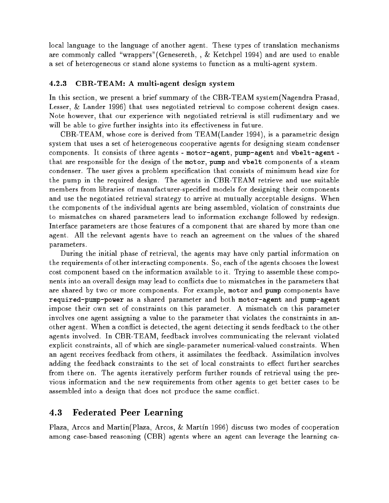local language to the language of another agent. These types of translation mechanisms are commonly called "wrappers"(Genesereth, ,  $\&$  Ketchpel 1994) and are used to enable a set of heterogeneous or stand alone systems to function as a multi-agent system.

### 4.2.3 CBR-TEAM: A multi-agent design system

In this section, we present a brief summary of the CBR-TEAM system(Nagendra Prasad, Lesser, & Lander 1996) that uses negotiated retrieval to compose coherent design cases. Note however, that our experience with negotiated retrieval is still rudimentary and we will be able to give further insights into its effectiveness in future.

CBR-TEAM, whose core is derived from TEAM(Lander 1994), is a parametric design system that uses a set of heterogeneous cooperative agents for designing steam condenser components. It consists of three agents - motor-agent, pump-agent and vbelt-agent that are responsible for the design of the motor, pump and vbelt components of a steam condenser. The user gives a problem specication that consists of minimum head size for the pump in the required design. The agents in CBR-TEAM retrieve and use suitable members from libraries of manufacturer-specied models for designing their components and use the negotiated retrieval strategy to arrive at mutually acceptable designs. When the components of the individual agents are being assembled, violation of constraints due to mismatches on shared parameters lead to information exchange followed by redesign. Interface parameters are those features of a component that are shared by more than one agent. All the relevant agents have to reach an agreement on the values of the shared parameters.

During the initial phase of retrieval, the agents may have only partial information on the requirements of other interacting components. So, each of the agents chooses the lowest cost component based on the information available to it. Trying to assemble these components into an overall design may lead to conflicts due to mismatches in the parameters that are shared by two or more components. For example, motor and pump components have required-pump-power as a shared parameter and both motor-agent and pump-agent impose their own set of constraints on this parameter. A mismatch on this parameter involves one agent assigning a value to the parameter that violates the constraints in another agent. When a conflict is detected, the agent detecting it sends feedback to the other agents involved. In CBR-TEAM, feedback involves communicating the relevant violated explicit constraints, all of which are single-parameter numerical-valued constraints. When an agent receives feedback from others, it assimilates the feedback. Assimilation involves adding the feedback constraints to the set of local constraints to effect further searches from there on. The agents iteratively perform further rounds of retrieval using the previous information and the new requirements from other agents to get better cases to be assembled into a design that does not produce the same con
ict.

#### 4.3Federated Peer Learning

Plaza, Arcos and Martin(Plaza, Arcos, & Martín 1996) discuss two modes of cooperation among case-based reasoning (CBR) agents where an agent can leverage the learning ca-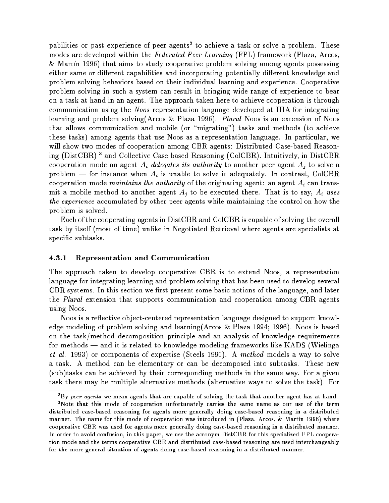pabilities or past experience of peer agents to achieve a task or solve a problem. These modes are developed within the Federated Peer Learning (FPL) framework (Plaza, Arcos,  $\&$  Martin 1996) that aims to study cooperative problem solving among agents possessing either same or different capabilities and incorporating potentially different knowledge and problem solving behaviors based on their individual learning and experience. Cooperative problem solving in such a system can result in bringing wide range of experience to bear on a task at hand in an agent. The approach taken here to achieve cooperation is through communication using the Noos representation language developed at IIIA for integrating learning and problem solving(Arcos & Plaza 1996). Plural Noos is an extension of Noos that allows communication and mobile (or \migrating") tasks and methods (to achieve these tasks) among agents that use Noos as a representation language. In particular, we will show two modes of cooperation among CBR agents: Distributed Case-based Reasoning (DistUDR) 3 and Collective Case-based Reasoning (ColUDR). Intuitively, in DistUDR cooperation mode an agent  $A_i$  delegates its authority to another peer agent  $A_i$  to solve a problem – for instance when  $A_i$  is unable to solve it adequately. In contrast, ColCBR cooperation mode *maintains the authority* of the originating agent: an agent  $A_i$  can transmit a mobile method to another agent  $A_j$  to be executed there. That is to say,  $A_i$  uses the experience accumulated by other peer agents while maintaining the control on how the problem is solved.

Each of the cooperating agents in DistCBR and ColCBR is capable of solving the overall task by itself (most of time) unlike in Negotiated Retrieval where agents are specialists at specic subtasks.

### 4.3.1 Representation and Communication

The approach taken to develop cooperative CBR is to extend Noos, a representation language for integrating learning and problem solving that has been used to develop several CBR systems. In this section we first present some basic notions of the language, and later the Plural extension that supports communication and cooperation among CBR agents using Noos.

Noos is a reflective object-centered representation language designed to support knowledge modeling of problem solving and learning(Arcos & Plaza 1994; 1996). Noos is based on the task/method decomposition principle and an analysis of knowledge requirements for methods — and it is related to knowledge modeling frameworks like KADS (Wielinga et al. 1993) or complements of experies (Negles 1990). A method models and models a way to solve a task. A method can be elementary or can be decomposed into subtasks. These new (sub)tasks can be achieved by their corresponding methods in the same way. For a given task there may be multiple alternative methods (alternative ways to solve the task). For

<sup>2</sup> By peer agents we mean agents that are capable of solving the task that another agent has at hand.

<sup>3</sup>Note that this mode of cooperation unfortunately carries the same name as our use of the term distributed case-based reasoning for agents more generally doing case-based reasoning in a distributed manner. The name for this mode of cooperation was introduced in (Plaza, Arcos, & Martín 1996) where cooperative CBR was used for agents more generally doing case-based reasoning in a distributed manner. In order to avoid confusion, in this paper, we use the acronym DistCBR for this specialized FPL cooperation mode and the terms cooperative CBR and distributed case-based reasoning are used interchangeably for the more general situation of agents doing case-based reasoning in a distributed manner.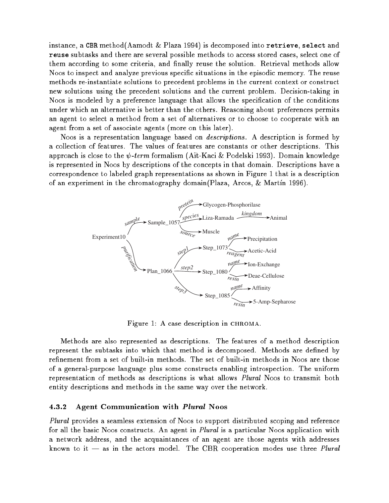instance, a CBR method(Aamodt & Plaza 1994) is decomposed into retrieve, select and reuse subtasks and there are several possible methods to access stored cases, select one of them according to some criteria, and finally reuse the solution. Retrieval methods allow Noos to inspect and analyze previous specic situations in the episodic memory. The reuse methods re-instantiate solutions to precedent problems in the current context or construct new solutions using the precedent solutions and the current problem. Decision-taking in Noos is modeled by a preference language that allows the specification of the conditions under which an alternative is better than the others. Reasoning about preferences permits an agent to select a method from a set of alternatives or to choose to cooperate with an agent from a set of associate agents (more on this later).

Noos is a representation language based on *descriptions*. A description is formed by a collection of features. The values of features are constants or other descriptions. This approach is close to the  $\psi$ -term formalism (Ait-Kaci & Podelski 1993). Domain knowledge is represented in Noos by descriptions of the concepts in that domain. Descriptions have a correspondence to labeled graph representations as shown in Figure 1 that is a description of an experiment in the chromatography domain (Plaza, Arcos, & Martín 1996).



Figure 1: A case description in CHROMA.

Methods are also represented as descriptions. The features of a method description represent the subtasks into which that method is decomposed. Methods are defined by refinement from a set of built-in methods. The set of built-in methods in Noos are those of a general-purpose language plus some constructs enabling introspection. The uniform representation of methods as descriptions is what allows Plural Noos to transmit both entity descriptions and methods in the same way over the network.

#### 4.3.2 Agent Communication with Plural Noos

Plural provides a seamless extension of Noos to support distributed scoping and reference for all the basic Noos constructs. An agent in *Plural* is a particular Noos application with a network address, and the acquaintances of an agent are those agents with addresses known to it  $-$  as in the actors model. The CBR cooperation modes use three Plural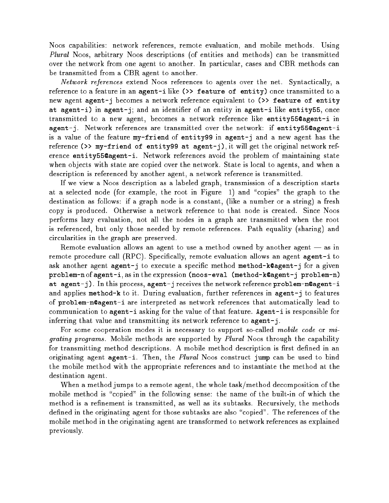Noos capabilities: network references, remote evaluation, and mobile methods. Using Plural Noos, arbitrary Noos descriptions (of entities and methods) can be transmitted over the network from one agent to another. In particular, cases and CBR methods can be transmitted from a CBR agent to another.

Network references extend Noos references to agents over the net. Syntactically, a reference to a feature in an agent-i like (>> feature of entity) once transmitted to a new agent agent-j becomes a network reference equivalent to (>> feature of entity at agent-i) in agent-j; and an identifier of an entity in agent-i like entity55, once transmitted to a new agent, becomes a network reference like entity55@agent-i in agent-j. Network references are transmitted over the network: if entity55@agent-i is a value of the feature my-friend of entity99 in agent-j and a new agent has the reference (>> my-friend of entity99 at agent-j), it will get the original network reference entity55@agent-i. Network references avoid the problem of maintaining state when objects with state are copied over the network. State is local to agents, and when a description is referenced by another agent, a network reference is transmitted.

If we view a Noos description as a labeled graph, transmission of a description starts at a selected node (for example, the root in Figure 1) and "copies" the graph to the destination as follows: if a graph node is a constant, (like a number or a string) a fresh copy is produced. Otherwise a network reference to that node is created. Since Noos performs lazy evaluation, not all the nodes in a graph are transmitted when the root is referenced, but only those needed by remote references. Path equality (sharing) and circularities in the graph are preserved.

Remote evaluation allows an agent to use a method owned by another agent  $-$  as in remote procedure call  $(RPC)$ . Specifically, remote evaluation allows an agent agent-i to ask another agent agent-j to execute a specific method method-k@agent-j for a given problem-n of agent-i, as in the expression (noos-eval (method-k@agent-j problem-n) at agent-j). In this process, agent-j receives the network reference problem-n@agent-i and applies method-k to it. During evaluation, further references in agent-j to features of problem-n@agent-i are interpreted as network references that automatically lead to communication to agent-i asking for the value of that feature. Agent-i is responsible for inferring that value and transmitting its network reference to agent-j.

For some cooperation modes it is necessary to support so-called mobile code or migrating programs . Mobile methods are supported by Plural Strategy through the capability for transmitting method descriptions. A mobile method description is first defined in an originating agent agent-i. Then, the *Plural* Noos construct jump can be used to bind the mobile method with the appropriate references and to instantiate the method at the destination agent.

When a method jumps to a remote agent, the whole task/method decomposition of the mobile method is "copied" in the following sense: the name of the built-in of which the method is a refinement is transmitted, as well as its subtasks. Recursively, the methods defined in the originating agent for those subtasks are also "copied". The references of the mobile method in the originating agent are transformed to network references as explained previously.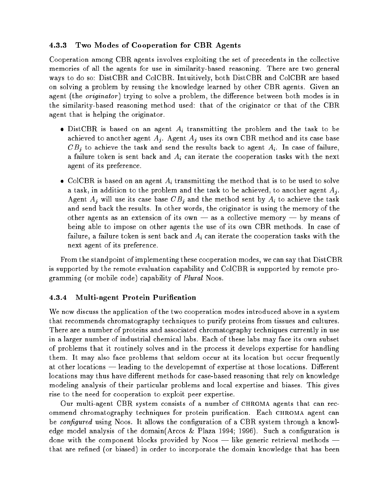## 4.3.3 Two Modes of Cooperation for CBR Agents

Cooperation among CBR agents involves exploiting the set of precedents in the collective memories of all the agents for use in similarity-based reasoning. There are two general ways to do so: DistCBR and ColCBR. Intuitively, both DistCBR and ColCBR are based on solving a problem by reusing the knowledge learned by other CBR agents. Given an agent (the *originator*) trying to solve a problem, the difference between both modes is in the similarity-based reasoning method used: that of the originator or that of the CBR agent that is helping the originator.

- DistCBR is based on an agent  $A_i$  transmitting the problem and the task to be achieved to another agent  $A_j$ . Agent  $A_j$  uses its own CBR method and its case base  $CB<sub>j</sub>$  to achieve the task and send the results back to agent  $A<sub>i</sub>$ . In case of failure, a failure token is sent back and  $A_i$  can iterate the cooperation tasks with the next agent of its preference.
- ColCBR is based on an agent  $A_i$  transmitting the method that is to be used to solve a task, in addition to the problem and the task to be achieved, to another agent  $A_j$ . Agent  $A_i$  will use its case base  $CB_i$  and the method sent by  $A_i$  to achieve the task and send back the results. In other words, the originator is using the memory of the other agents as an extension of its own  $-$  as a collective memory  $-$  by means of being able to impose on other agents the use of its own CBR methods. In case of failure, a failure token is sent back and  $A_i$  can iterate the cooperation tasks with the next agent of its preference.

From the standpoint of implementing these cooperation modes, we can say that DistCBR is supported by the remote evaluation capability and ColCBR is supported by remote programming (or mobile code) capability of Plural Noos.

## 4.3.4 Multi-agent Protein Purication

We now discuss the application of the two cooperation modes introduced above in a system that recommends chromatography techniques to purify proteins from tissues and cultures. There are a number of proteins and associated chromatography techniques currently in use in a larger number of industrial chemical labs. Each of these labs may face its own subset of problems that it routinely solves and in the process it develops expertise for handling them. It may also face problems that seldom occur at its location but occur frequently at other locations — leading to the developemnt of expertise at those locations. Different locations may thus have different methods for case-based reasoning that rely on knowledge modeling analysis of their particular problems and local expertise and biases. This gives rise to the need for cooperation to exploit peer expertise.

Our multi-agent CBR system consists of a number of chroma agents that can recommend chromatography techniques for protein purification. Each CHROMA agent can be *configured* using Noos. It allows the configuration of a CBR system through a knowledge model analysis of the domain(Arcos & Plaza 1994; 1996). Such a configuration is done with the component blocks provided by Noos  $-$  like generic retrieval methods  $$ that are refined (or biased) in order to incorporate the domain knowledge that has been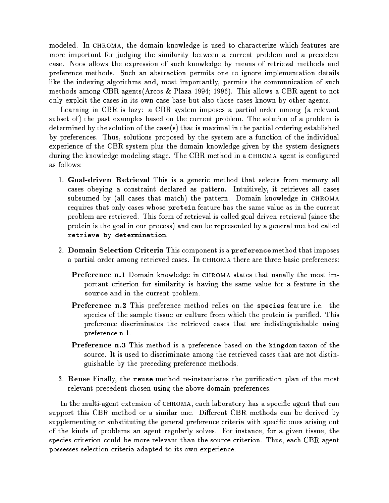modeled. In CHROMA, the domain knowledge is used to characterize which features are more important for judging the similarity between a current problem and a precedent case. Noos allows the expression of such knowledge by means of retrieval methods and preference methods. Such an abstraction permits one to ignore implementation details like the indexing algorithms and, most importantly, permits the communication of such methods among CBR agents(Arcos & Plaza 1994; 1996). This allows a CBR agent to not only exploit the cases in its own case-base but also those cases known by other agents.

Learning in CBR is lazy: a CBR system imposes a partial order among (a relevant subset of) the past examples based on the current problem. The solution of a problem is determined by the solution of the case(s) that is maximal in the partial ordering established by preferences. Thus, solutions proposed by the system are a function of the individual experience of the CBR system plus the domain knowledge given by the system designers during the knowledge modeling stage. The CBR method in a CHROMA agent is configured as follows:

- 1. Goal-driven Retrieval This is a generic method that selects from memory all cases obeying a constraint declared as pattern. Intuitively, it retrieves all cases subsumed by (all cases that match) the pattern. Domain knowledge in CHROMA requires that only cases whose protein feature has the same value as in the current problem are retrieved. This form of retrieval is called goal-driven retrieval (since the protein is the goal in our process) and can be represented by a general method called retrieve-by-determination.
- 2. Domain Selection Criteria This component is a preference method that imposes a partial order among retrieved cases. In CHROMA there are three basic preferences:
	- **Preference n.1** Domain knowledge in CHROMA states that usually the most important criterion for similarity is having the same value for a feature in the source and in the current problem.
	- Preference n.2 This preference method relies on the species feature i.e. the species of the sample tissue or culture from which the protein is purified. This preference discriminates the retrieved cases that are indistinguishable using preference n.1.
	- Preference n.3 This method is a preference based on the kingdom taxon of the source. It is used to discriminate among the retrieved cases that are not distinguishable by the preceding preference methods.
- 3. Reuse Finally, the reuse method re-instantiates the purification plan of the most relevant precedent chosen using the above domain preferences.

In the multi-agent extension of CHROMA, each laboratory has a specific agent that can support this CBR method or a similar one. Different CBR methods can be derived by supplementing or substituting the general preference criteria with specific ones arising out of the kinds of problems an agent regularly solves. For instance, for a given tissue, the species criterion could be more relevant than the source criterion. Thus, each CBR agent possesses selection criteria adapted to its own experience.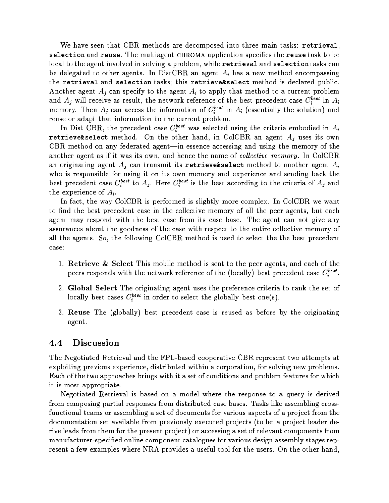We have seen that CBR methods are decomposed into three main tasks: retrieval, selection and reuse. The multiagent CHROMA application specifies the reuse task to be local to the agent involved in solving a problem, while retrieval and selection tasks can be delegated to other agents. In DistCBR an agent  $A_i$  has a new method encompassing the retrieval and selection tasks; this retrieve&select method is declared public. Another agent  $A_i$  can specify to the agent  $A_i$  to apply that method to a current problem and  $A_i$  will receive as result, the network reference of the best precedent case  $C_i^{best}$  in  $A_i$ memory. Then  $A_i$  can access the information of  $C_i^{best}$  in  $A_i$  (essentially the solution) and reuse or adapt that information to the current problem.

In Dist CBR, the precedent case  $C_i^{\textit{best}}$  was selected using the criteria embodied in  $A_i$ retrieve&select method. On the other hand, in ColCBR an agent  $A_j$  uses its own CBR method on any federated agent—in essence accessing and using the memory of the another agent as if it was its own, and hence the name of collective memory. In ColCBR an originating agent  $A_i$  can transmit its retrieve&select method to another agent  $A_i$ who is responsible for using it on its own memory and experience and sending back the best precedent case  $C_i^{best}$  to  $A_j$ . Here  $C_i^{best}$  is the best according to the criteria of  $A_j$  and the experience of  $A_i$ .

In fact, the way ColCBR is performed is slightly more complex. In ColCBR we want to find the best precedent case in the collective memory of all the peer agents, but each agent may respond with the best case from its case base. The agent can not give any assurances about the goodness of the case with respect to the entire collective memory of all the agents. So, the following ColCBR method is used to select the the best precedent case:

- 1. Retrieve & Select This mobile method is sent to the peer agents, and each of the peers responds with the network reference of the (locally) best precedent case  $C_i^{best}$ .
- 2. Global Select The originating agent uses the preference criteria to rank the set of locally best cases  $C_i^{\text{best}}$  in order to select the globally best one(s).
- 3. Reuse The (globally) best precedent case is reused as before by the originating agent.

## 4.4 Discussion

The Negotiated Retrieval and the FPL-based cooperative CBR represent two attempts at exploiting previous experience, distributed within a corporation, for solving new problems. Each of the two approaches brings with it a set of conditions and problem features for which it is most appropriate.

Negotiated Retrieval is based on a model where the response to a query is derived from composing partial responses from distributed case bases. Tasks like assembling crossfunctional teams or assembling a set of documents for various aspects of a project from the documentation set available from previously executed projects (to let a project leader derive leads from them for the present project) or accessing a set of relevant components from manufacturer-specied online component catalogues for various design assembly stages represent a few examples where NRA provides a useful tool for the users. On the other hand,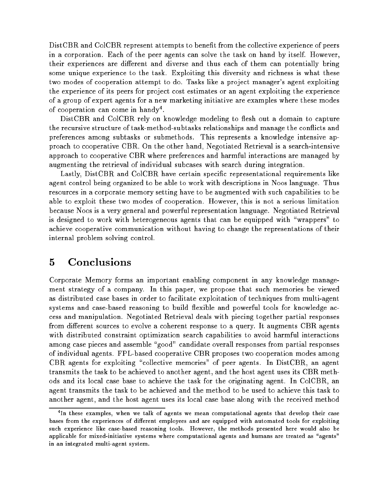DistCBR and ColCBR represent attempts to benet from the collective experience of peers in <sup>a</sup> corporation. Each of the peer agents can solve the task on hand by itself. However, their experiences are dierent and diverse and thus each of them can potentially bring some unique experience to the task . Exploiting this diversity that the task is the this diversity that the t two modes of cooperation attempt to do. Tasks like a project manager's agent exploiting the experience of its peers for pro ject cost estimates or an agent exploiting the experience of a group of expert agents for a new marketing initiative are examples where these modes or cooperation can come in handy .

DistCBR and ColCBR rely on knowledge modeling to esh out <sup>a</sup> domain to capture the recursive structure of task-methods subtasted relationships and manage the continuous and preferences among subtasks or submethods. This represents <sup>a</sup> knowledge intensive approach to cooperative CBR. On the other hand, Negotiated Retrieval is a search-intensive approach to cooperative CBR where preferences and harmful interactions are managed by augmenting the retrieval of individual subcases with search during integration.

Lastly, DistCBR and ColCBR have certain specic representational requirements like agent control being organized to be able to work to be able to be able to the second through the Thus Thus Thu resources in a corporate memory setting have to be augmented with such capabilities to be able to exploit these two modes of cooperation. However, this is not <sup>a</sup> serious limitation because Noos is a very general and powerful representation language. Negotiated Retrieval is designed to work with heterogeneous agents that can be equipped with \wrappers" to achieve cooperative communication without having to change the representations of the internal problem solving control.

#### $\overline{5}$ **Conclusions**

Corporate Memory forms an important enabling component in any knowledge management strategy of <sup>a</sup> company. In this paper, we propose that such memories be viewed as distributed case bases in order to facilitate exploitation of techniques from multi-agent systems and case-based reasoning to build exible and powerful tools for knowledge access and manipulation. Negotiated Retrieval deals with province province to government particles to possess from dierent sources to evolve a coherent response to <sup>a</sup> query. It augments CBR agents with distribution search component optimization search capabilities to avoid harmful interactions to among case pieces and assemble \good" candidate overall responses from partial responses of individual agents. FPL-based cooperative CBR proposes two cooperation modes among  $\epsilon = 0$  agents for exploiting  $\epsilon$  collective memories. In performance memories  $\epsilon = 0$  and agents. transmits the task to be achieved to another agent, and the host agent uses its CBR methods and its local case base to achieve the task for the originating agent. In ColCBR, an agent transmits the task to be achieved and the method to be used to achieve this task to another agent, and the host agent uses its local case along with the received method

<sup>4</sup> In these examples, when we talk of agents we mean computational agents that develop their case bases from the experiences of dierent employees and are equipped with automated tools for exploiting such experience like case-based reasoning tools. However, the methods presented here would also be applicable for mixed-initiative systems where computational agents and humans are treated as \agents" in an integrated multi-agent system.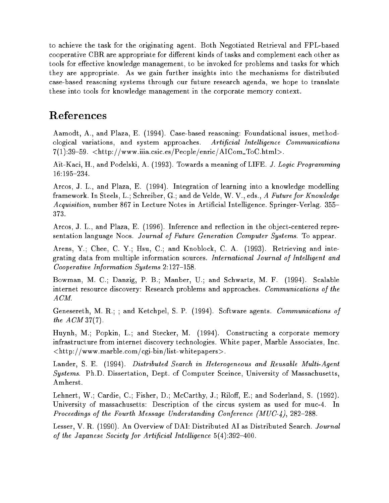to achieve the task for the originating agent. Both Negotiated Retrieval and FPL-based cooperative CBR are appropriate for different kinds of tasks and complement each other as tools for effective knowledge management, to be invoked for problems and tasks for which they are appropriate. As we gain further insights into the mechanisms for distributed case-based reasoning systems through our future research agenda, we hope to translate these into tools for knowledge management in the corporate memory context.

# References

Aamodt, A., and Plaza, E. (1994). Case-based reasoning: Foundational issues, methodological variations, and system approaches. Artificial Intelligence Communications  $7(1):39-59.$  <http://www.iiia.csic.es/People/enric/AICom ToC.html>.

Ait-Kaci, H., and Podelski, A. (1993). Towards a meaning of LIFE. J. Logic Programming 16:195{234.

Arcos, J. L., and Plaza, E. (1994). Integration of learning into a knowledge modelling framework. In Steels, L.; Schreiber, G.; and de Velde, W. V., eds., A Future for Knowledge Acquisition, number 867 in Lecture Notes in Artificial Intelligence. Springer-Verlag. 355-373.

Arcos, J. L., and Plaza, E. (1996). Inference and reflection in the object-centered representation language Noos. Journal of Future Generation Computer Systems. To appear.

Arens, Y.; Chee, C. Y.; Hsu, C.; and Knoblock, C. A. (1993). Retrieving and integrating data from multiple information sources. International Journal of Intelligent and Cooperative Information Systems  $2:127-158$ .

Bowman, M. C.; Danzig, P. B.; Manber, U.; and Schwartz, M. F. (1994). Scalable internet resource discovery: Research problems and approaches. *Communications of the* ACM.

Genesereth, M. R.; ; and Ketchpel, S. P. (1994). Software agents. Communications of the ACM 37(7).

Huynh, M.; Popkin, L.; and Stecker, M. (1994). Constructing a corporate memory infrastructure from internet discovery technologies. White paper, Marble Associates, Inc.  $\langle$ http://www.marble.com/cgi-bin/list-whitepapers>.

Lander, S. E. (1994). Distributed Search in Heterogeneous and Reusable Multi-Agent Systems. Ph.D. Dissertation, Dept. of Computer Sceince, University of Massachusetts, Amherst.

Lehnert, W.; Cardie, C.; Fisher, D.; McCarthy, J.; Riloff, E.; and Soderland, S. (1992). University of massachusetts: Description of the circus system as used for muc-4. In Proceedings of the Fourth Message Understanding Conference  $(MUC-4)$ , 282-288.

Lesser, V. R. (1990). An Overview of DAI: Distributed AI as Distributed Search. Journal of the Japanese Society for Artificial Intelligence  $5(4):392-400$ .